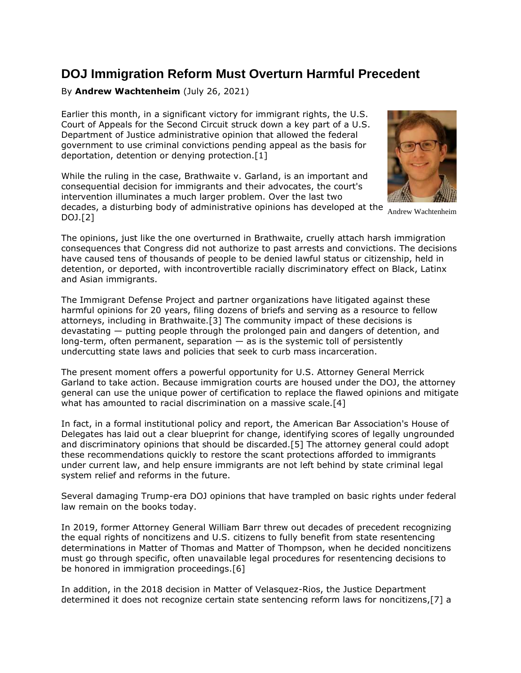## **DOJ Immigration Reform Must Overturn Harmful Precedent**

## By **Andrew Wachtenheim** (July 26, 2021)

Earlier this month, in a significant victory for immigrant rights, the [U.S.](https://www.law360.com/agencies/u-s-court-of-appeals-for-the-second-circuit)  [Court of Appeals for the Second Circuit](https://www.law360.com/agencies/u-s-court-of-appeals-for-the-second-circuit) struck down a key part of a [U.S.](https://www.law360.com/agencies/u-s-department-of-justice)  [Department of Justice](https://www.law360.com/agencies/u-s-department-of-justice) administrative opinion that allowed the federal government to use criminal convictions pending appeal as the basis for deportation, detention or denying protection.[1]

While the ruling in the case, Brathwaite v. Garland, is an important and consequential decision for immigrants and their advocates, the court's intervention illuminates a much larger problem. Over the last two



The opinions, just like the one overturned in Brathwaite, cruelly attach harsh immigration consequences that Congress did not authorize to past arrests and convictions. The decisions have caused tens of thousands of people to be denied lawful status or citizenship, held in detention, or deported, with incontrovertible racially discriminatory effect on Black, Latinx and Asian immigrants.

The [Immigrant Defense Project](https://www.law360.com/companies/immigrant-defense-project) and partner organizations have litigated against these harmful opinions for 20 years, filing dozens of briefs and serving as a resource to fellow attorneys, including in Brathwaite.[3] The community impact of these decisions is devastating — putting people through the prolonged pain and dangers of detention, and long-term, often permanent, separation — as is the systemic toll of persistently undercutting state laws and policies that seek to curb mass incarceration.

The present moment offers a powerful opportunity for U.S. Attorney General Merrick Garland to take action. Because immigration courts are housed under the DOJ, the attorney general can use the unique power of certification to replace the flawed opinions and mitigate what has amounted to racial discrimination on a massive scale.[4]

In fact, in a formal institutional policy and report, the [American Bar Association'](https://www.law360.com/companies/american-bar-association)s House of Delegates has laid out a clear blueprint for change, identifying scores of legally ungrounded and discriminatory opinions that should be discarded.[5] The attorney general could adopt these recommendations quickly to restore the scant protections afforded to immigrants under current law, and help ensure immigrants are not left behind by state criminal legal system relief and reforms in the future.

Several damaging Trump-era DOJ opinions that have trampled on basic rights under federal law remain on the books today.

In 2019, former Attorney General William Barr threw out decades of precedent recognizing the equal rights of noncitizens and U.S. citizens to fully benefit from state resentencing determinations in Matter of Thomas and Matter of Thompson, when he decided noncitizens must go through specific, often unavailable legal procedures for resentencing decisions to be honored in immigration proceedings.[6]

In addition, in the 2018 decision in Matter of Velasquez-Rios, the Justice Department determined it does not recognize certain state sentencing reform laws for noncitizens,[7] a

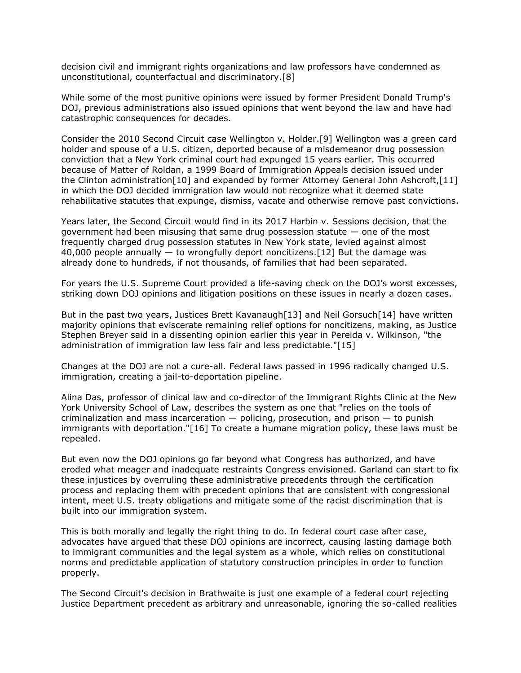decision civil and immigrant rights organizations and law professors have condemned as unconstitutional, counterfactual and discriminatory.[8]

While some of the most punitive opinions were issued by former President Donald Trump's DOJ, previous administrations also issued opinions that went beyond the law and have had catastrophic consequences for decades.

Consider the 2010 Second Circuit case Wellington v. Holder.[9] Wellington was a green card holder and spouse of a U.S. citizen, deported because of a misdemeanor drug possession conviction that a New York criminal court had expunged 15 years earlier. This occurred because of Matter of Roldan, a 1999 Board of Immigration Appeals decision issued under the Clinton administration[10] and expanded by former Attorney General John Ashcroft,[11] in which the DOJ decided immigration law would not recognize what it deemed state rehabilitative statutes that expunge, dismiss, vacate and otherwise remove past convictions.

Years later, the Second Circuit would find in its 2017 Harbin v. Sessions decision, that the government had been misusing that same drug possession statute — one of the most frequently charged drug possession statutes in New York state, levied against almost 40,000 people annually — to wrongfully deport noncitizens.[12] But the damage was already done to hundreds, if not thousands, of families that had been separated.

For years the [U.S. Supreme Court](https://www.law360.com/agencies/u-s-supreme-court) provided a life-saving check on the DOJ's worst excesses, striking down DOJ opinions and litigation positions on these issues in nearly a dozen cases.

But in the past two years, Justices Brett Kavanaugh[13] and Neil Gorsuch[14] have written majority opinions that eviscerate remaining relief options for noncitizens, making, as Justice Stephen Breyer said in a dissenting opinion earlier this year in Pereida v. Wilkinson, "the administration of immigration law less fair and less predictable."[15]

Changes at the DOJ are not a cure-all. Federal laws passed in 1996 radically changed U.S. immigration, creating a jail-to-deportation pipeline.

Alina Das, professor of clinical law and co-director of the Immigrant Rights Clinic at the [New](https://www.law360.com/companies/new-york-university)  [York University School of Law,](https://www.law360.com/companies/new-york-university) describes the system as one that "relies on the tools of criminalization and mass incarceration  $-$  policing, prosecution, and prison  $-$  to punish immigrants with deportation."[16] To create a humane migration policy, these laws must be repealed.

But even now the DOJ opinions go far beyond what Congress has authorized, and have eroded what meager and inadequate restraints Congress envisioned. Garland can start to fix these injustices by overruling these administrative precedents through the certification process and replacing them with precedent opinions that are consistent with congressional intent, meet U.S. treaty obligations and mitigate some of the racist discrimination that is built into our immigration system.

This is both morally and legally the right thing to do. In federal court case after case, advocates have argued that these DOJ opinions are incorrect, causing lasting damage both to immigrant communities and the legal system as a whole, which relies on constitutional norms and predictable application of statutory construction principles in order to function properly.

The Second Circuit's decision in Brathwaite is just one example of a federal court rejecting Justice Department precedent as arbitrary and unreasonable, ignoring the so-called realities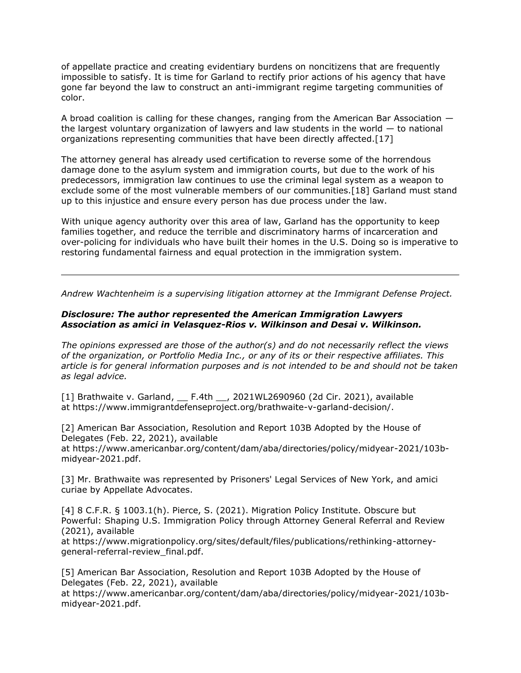of appellate practice and creating evidentiary burdens on noncitizens that are frequently impossible to satisfy. It is time for Garland to rectify prior actions of his agency that have gone far beyond the law to construct an anti-immigrant regime targeting communities of color.

A broad coalition is calling for these changes, ranging from the American Bar Association the largest voluntary organization of lawyers and law students in the world — to national organizations representing communities that have been directly affected.[17]

The attorney general has already used certification to reverse some of the horrendous damage done to the asylum system and immigration courts, but due to the work of his predecessors, immigration law continues to use the criminal legal system as a weapon to exclude some of the most vulnerable members of our communities.[18] Garland must stand up to this injustice and ensure every person has due process under the law.

With unique agency authority over this area of law, Garland has the opportunity to keep families together, and reduce the terrible and discriminatory harms of incarceration and over-policing for individuals who have built their homes in the U.S. Doing so is imperative to restoring fundamental fairness and equal protection in the immigration system.

*[Andrew Wachtenheim](https://www.immigrantdefenseproject.org/about/staff/) is a supervising litigation attorney at the Immigrant Defense Project.*

## *Disclosure: The author represented the [American Immigration Lawyers](https://www.law360.com/companies/american-immigration-lawyers-association)  [Association](https://www.law360.com/companies/american-immigration-lawyers-association) as amici in Velasquez-Rios v. Wilkinson and Desai v. Wilkinson.*

*The opinions expressed are those of the author(s) and do not necessarily reflect the views of the organization, or Portfolio Media Inc., or any of its or their respective affiliates. This article is for general information purposes and is not intended to be and should not be taken as legal advice.*

[1] [Brathwaite v. Garland,](https://advance.lexis.com/api/search?q=2021%20U.S.%20App.%20LEXIS%2019604&qlang=bool&origination=law360&internalOrigination=article_id%3D1406227%3Bcitation%3D2021%20U.S.%20App.%20LEXIS%2019604&originationDetail=headline%3DDOJ%20Immigration%20Reform%20Must%20Overturn%20Harmful%20Precedent&) \_\_ F.4th \_\_, 2021WL2690960 (2d Cir. 2021), available at [https://www.immigrantdefenseproject.org/brathwaite-v-garland-decision/.](https://www.immigrantdefenseproject.org/brathwaite-v-garland-decision/)

[2] American Bar Association, Resolution and Report 103B Adopted by the House of Delegates (Feb. 22, 2021), available at [https://www.americanbar.org/content/dam/aba/directories/policy/midyear-2021/103b](https://www.americanbar.org/content/dam/aba/directories/policy/midyear-2021/103b-midyear-2021.pdf)[midyear-2021.pdf.](https://www.americanbar.org/content/dam/aba/directories/policy/midyear-2021/103b-midyear-2021.pdf)

[3] Mr. Brathwaite was represented by Prisoners' Legal Services of New York, and amici curiae by [Appellate Advocates.](https://www.law360.com/firms/appellate-advocates)

[4] 8 C.F.R. § 1003.1(h). Pierce, S. (2021). Migration Policy Institute. Obscure but Powerful: Shaping U.S. Immigration Policy through Attorney General Referral and Review (2021), available

at [https://www.migrationpolicy.org/sites/default/files/publications/rethinking-attorney](https://www.migrationpolicy.org/sites/default/files/publications/rethinking-attorney-general-referral-review_final.pdf)[general-referral-review\\_final.pdf.](https://www.migrationpolicy.org/sites/default/files/publications/rethinking-attorney-general-referral-review_final.pdf)

[5] American Bar Association, Resolution and Report 103B Adopted by the House of Delegates (Feb. 22, 2021), available

at [https://www.americanbar.org/content/dam/aba/directories/policy/midyear-2021/103b](https://www.americanbar.org/content/dam/aba/directories/policy/midyear-2021/103b-midyear-2021.pdf)[midyear-2021.pdf.](https://www.americanbar.org/content/dam/aba/directories/policy/midyear-2021/103b-midyear-2021.pdf)